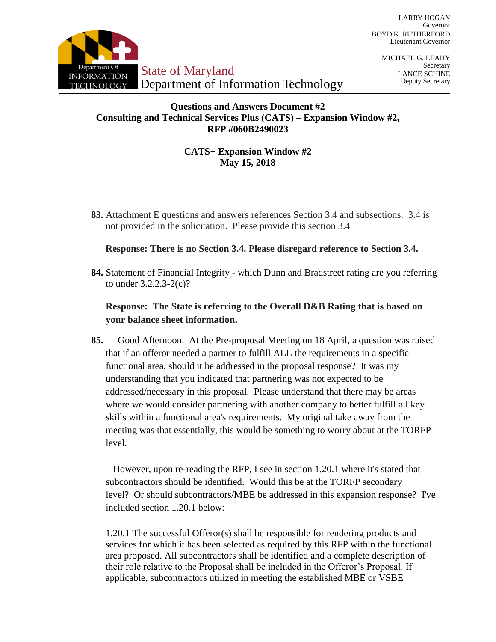

MICHAEL G. LEAHY Secretary LANCE SCHINE Deputy Secretary

### **Questions and Answers Document #2 Consulting and Technical Services Plus (CATS) – Expansion Window #2, RFP #060B2490023**

# **CATS+ Expansion Window #2 May 15, 2018**

**83.** Attachment E questions and answers references Section 3.4 and subsections. 3.4 is not provided in the solicitation. Please provide this section 3.4

# **Response: There is no Section 3.4. Please disregard reference to Section 3.4.**

**84.** Statement of Financial Integrity - which Dunn and Bradstreet rating are you referring to under 3.2.2.3-2(c)?

# **Response: The State is referring to the Overall D&B Rating that is based on your balance sheet information.**

**85.** Good Afternoon. At the Pre-proposal Meeting on 18 April, a question was raised that if an offeror needed a partner to fulfill ALL the requirements in a specific functional area, should it be addressed in the proposal response? It was my understanding that you indicated that partnering was not expected to be addressed/necessary in this proposal. Please understand that there may be areas where we would consider partnering with another company to better fulfill all key skills within a functional area's requirements. My original take away from the meeting was that essentially, this would be something to worry about at the TORFP level.

However, upon re-reading the RFP, I see in section 1.20.1 where it's stated that subcontractors should be identified. Would this be at the TORFP secondary level? Or should subcontractors/MBE be addressed in this expansion response? I've included section 1.20.1 below:

1.20.1 The successful Offeror(s) shall be responsible for rendering products and services for which it has been selected as required by this RFP within the functional area proposed. All subcontractors shall be identified and a complete description of their role relative to the Proposal shall be included in the Offeror's Proposal. If applicable, subcontractors utilized in meeting the established MBE or VSBE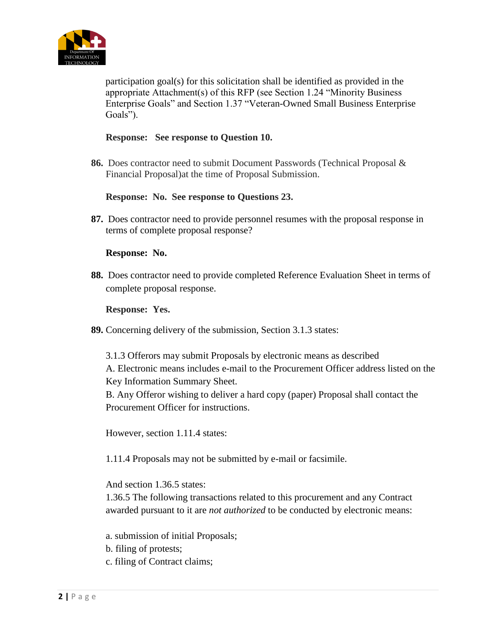

participation goal(s) for this solicitation shall be identified as provided in the appropriate Attachment(s) of this RFP (see Section 1.24 "Minority Business Enterprise Goals" and Section 1.37 "Veteran-Owned Small Business Enterprise Goals").

### **Response: See response to Question 10.**

**86.** Does contractor need to submit Document Passwords (Technical Proposal & Financial Proposal)at the time of Proposal Submission.

# **Response: No. See response to Questions 23.**

**87.** Does contractor need to provide personnel resumes with the proposal response in terms of complete proposal response?

# **Response: No.**

**88.** Does contractor need to provide completed Reference Evaluation Sheet in terms of complete proposal response.

# **Response: Yes.**

**89.** Concerning delivery of the submission, Section 3.1.3 states:

3.1.3 Offerors may submit Proposals by electronic means as described A. Electronic means includes e-mail to the Procurement Officer address listed on the Key Information Summary Sheet.

B. Any Offeror wishing to deliver a hard copy (paper) Proposal shall contact the Procurement Officer for instructions.

However, section 1.11.4 states:

1.11.4 Proposals may not be submitted by e-mail or facsimile.

And section 1.36.5 states:

1.36.5 The following transactions related to this procurement and any Contract awarded pursuant to it are *not authorized* to be conducted by electronic means:

- a. submission of initial Proposals;
- b. filing of protests;
- c. filing of Contract claims;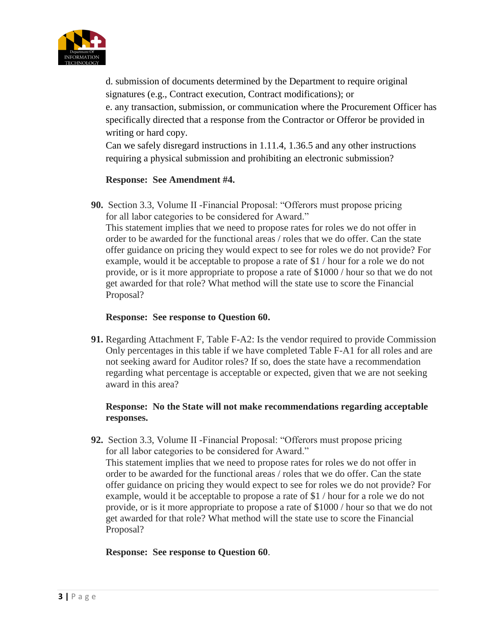

d. submission of documents determined by the Department to require original signatures (e.g., Contract execution, Contract modifications); or e. any transaction, submission, or communication where the Procurement Officer has specifically directed that a response from the Contractor or Offeror be provided in writing or hard copy.

Can we safely disregard instructions in 1.11.4, 1.36.5 and any other instructions requiring a physical submission and prohibiting an electronic submission?

# **Response: See Amendment #4.**

**90.** Section 3.3, Volume II -Financial Proposal: "Offerors must propose pricing for all labor categories to be considered for Award."

This statement implies that we need to propose rates for roles we do not offer in order to be awarded for the functional areas / roles that we do offer. Can the state offer guidance on pricing they would expect to see for roles we do not provide? For example, would it be acceptable to propose a rate of \$1 / hour for a role we do not provide, or is it more appropriate to propose a rate of \$1000 / hour so that we do not get awarded for that role? What method will the state use to score the Financial Proposal?

### **Response: See response to Question 60.**

**91.** Regarding Attachment F, Table F-A2: Is the vendor required to provide Commission Only percentages in this table if we have completed Table F-A1 for all roles and are not seeking award for Auditor roles? If so, does the state have a recommendation regarding what percentage is acceptable or expected, given that we are not seeking award in this area?

# **Response: No the State will not make recommendations regarding acceptable responses.**

**92.** Section 3.3, Volume II -Financial Proposal: "Offerors must propose pricing for all labor categories to be considered for Award." This statement implies that we need to propose rates for roles we do not offer in order to be awarded for the functional areas / roles that we do offer. Can the state offer guidance on pricing they would expect to see for roles we do not provide? For example, would it be acceptable to propose a rate of \$1 / hour for a role we do not provide, or is it more appropriate to propose a rate of \$1000 / hour so that we do not get awarded for that role? What method will the state use to score the Financial Proposal?

### **Response: See response to Question 60**.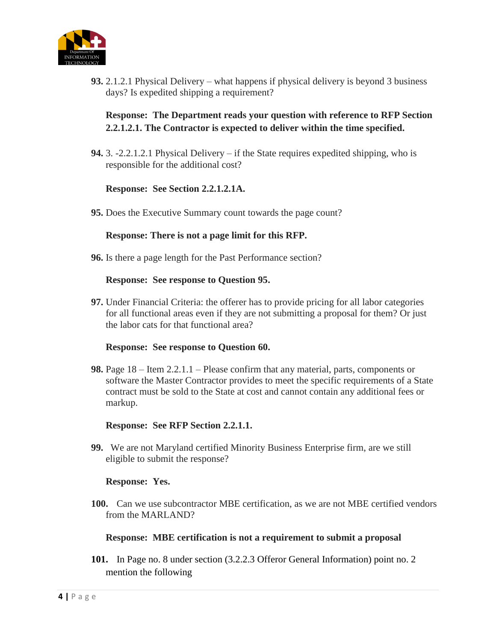

**93.** 2.1.2.1 Physical Delivery – what happens if physical delivery is beyond 3 business days? Is expedited shipping a requirement?

# **Response: The Department reads your question with reference to RFP Section 2.2.1.2.1. The Contractor is expected to deliver within the time specified.**

**94.** 3. -2.2.1.2.1 Physical Delivery – if the State requires expedited shipping, who is responsible for the additional cost?

### **Response: See Section 2.2.1.2.1A.**

**95.** Does the Executive Summary count towards the page count?

### **Response: There is not a page limit for this RFP.**

**96.** Is there a page length for the Past Performance section?

#### **Response: See response to Question 95.**

**97.** Under Financial Criteria: the offerer has to provide pricing for all labor categories for all functional areas even if they are not submitting a proposal for them? Or just the labor cats for that functional area?

#### **Response: See response to Question 60.**

**98.** Page 18 – Item 2.2.1.1 – Please confirm that any material, parts, components or software the Master Contractor provides to meet the specific requirements of a State contract must be sold to the State at cost and cannot contain any additional fees or markup.

#### **Response: See RFP Section 2.2.1.1.**

**99.** We are not Maryland certified Minority Business Enterprise firm, are we still eligible to submit the response?

### **Response: Yes.**

**100.** Can we use subcontractor MBE certification, as we are not MBE certified vendors from the MARLAND?

#### **Response: MBE certification is not a requirement to submit a proposal**

**101.** In Page no. 8 under section (3.2.2.3 Offeror General Information) point no. 2 mention the following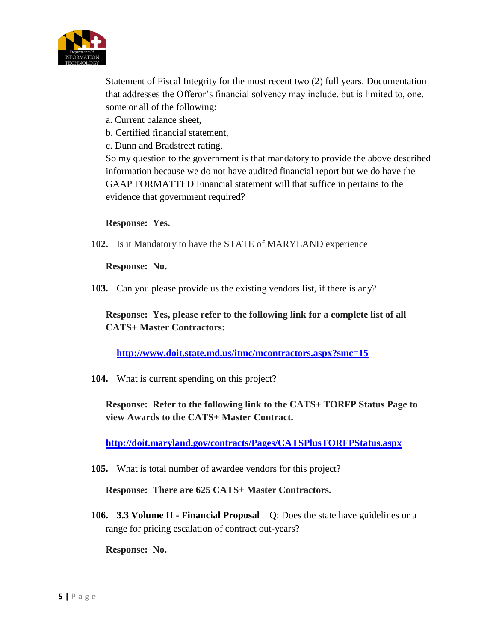

Statement of Fiscal Integrity for the most recent two (2) full years. Documentation that addresses the Offeror's financial solvency may include, but is limited to, one, some or all of the following:

- a. Current balance sheet,
- b. Certified financial statement,
- c. Dunn and Bradstreet rating,

So my question to the government is that mandatory to provide the above described information because we do not have audited financial report but we do have the GAAP FORMATTED Financial statement will that suffice in pertains to the evidence that government required?

# **Response: Yes.**

**102.** Is it Mandatory to have the STATE of MARYLAND experience

### **Response: No.**

**103.** Can you please provide us the existing vendors list, if there is any?

**Response: Yes, please refer to the following link for a complete list of all CATS+ Master Contractors:**

**<http://www.doit.state.md.us/itmc/mcontractors.aspx?smc=15>**

**104.** What is current spending on this project?

**Response: Refer to the following link to the CATS+ TORFP Status Page to view Awards to the CATS+ Master Contract.** 

**<http://doit.maryland.gov/contracts/Pages/CATSPlusTORFPStatus.aspx>**

**105.** What is total number of awardee vendors for this project?

**Response: There are 625 CATS+ Master Contractors.**

**106. 3.3 Volume II - Financial Proposal** – Q: Does the state have guidelines or a range for pricing escalation of contract out-years?

**Response: No.**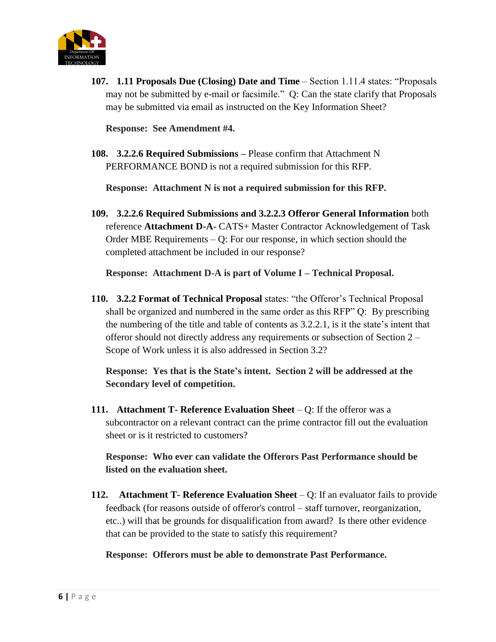

**107. 1.11 Proposals Due (Closing) Date and Time** – Section 1.11.4 states: "Proposals may not be submitted by e-mail or facsimile." Q: Can the state clarify that Proposals may be submitted via email as instructed on the Key Information Sheet?

**Response: See Amendment #4.**

**108. 3.2.2.6 Required Submissions –** Please confirm that Attachment N PERFORMANCE BOND is not a required submission for this RFP.

**Response: Attachment N is not a required submission for this RFP.**

**109. 3.2.2.6 Required Submissions and 3.2.2.3 Offeror General Information** both reference **Attachment D-A**- CATS+ Master Contractor Acknowledgement of Task Order MBE Requirements – Q: For our response, in which section should the completed attachment be included in our response?

**Response: Attachment D-A is part of Volume I – Technical Proposal.**

**110. 3.2.2 Format of Technical Proposal** states: "the Offeror's Technical Proposal shall be organized and numbered in the same order as this RFP" Q: By prescribing the numbering of the title and table of contents as 3.2.2.1, is it the state's intent that offeror should not directly address any requirements or subsection of Section 2 – Scope of Work unless it is also addressed in Section 3.2?

**Response: Yes that is the State's intent. Section 2 will be addressed at the Secondary level of competition.**

**111. Attachment T- Reference Evaluation Sheet** – Q: If the offeror was a subcontractor on a relevant contract can the prime contractor fill out the evaluation sheet or is it restricted to customers?

**Response: Who ever can validate the Offerors Past Performance should be listed on the evaluation sheet.** 

**112. Attachment T- Reference Evaluation Sheet** – Q: If an evaluator fails to provide feedback (for reasons outside of offeror's control – staff turnover, reorganization, etc..) will that be grounds for disqualification from award? Is there other evidence that can be provided to the state to satisfy this requirement?

**Response: Offerors must be able to demonstrate Past Performance.**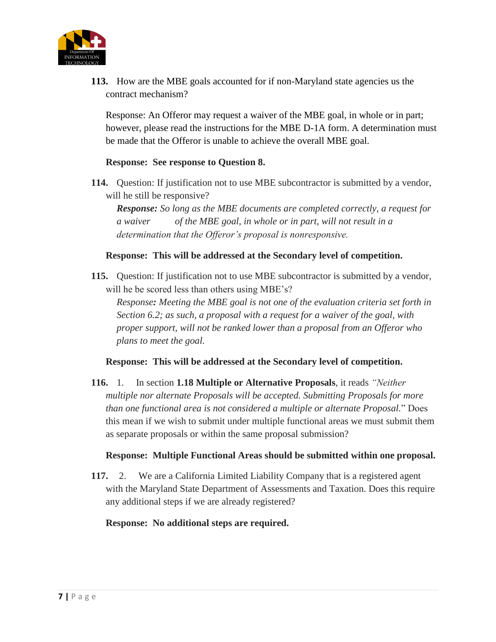

**113.** How are the MBE goals accounted for if non-Maryland state agencies us the contract mechanism?

Response: An Offeror may request a waiver of the MBE goal, in whole or in part; however, please read the instructions for the MBE D-1A form. A determination must be made that the Offeror is unable to achieve the overall MBE goal.

# **Response: See response to Question 8.**

**114.** Question: If justification not to use MBE subcontractor is submitted by a vendor, will he still be responsive?

*Response: So long as the MBE documents are completed correctly, a request for a waiver of the MBE goal, in whole or in part, will not result in a determination that the Offeror's proposal is nonresponsive.*

# **Response: This will be addressed at the Secondary level of competition.**

**115.** Question: If justification not to use MBE subcontractor is submitted by a vendor, will he be scored less than others using MBE's?

*Response: Meeting the MBE goal is not one of the evaluation criteria set forth in Section 6.2; as such, a proposal with a request for a waiver of the goal, with proper support, will not be ranked lower than a proposal from an Offeror who plans to meet the goal.*

**Response: This will be addressed at the Secondary level of competition.**

**116.** 1. In section **1.18 Multiple or Alternative Proposals**, it reads *"Neither multiple nor alternate Proposals will be accepted. Submitting Proposals for more than one functional area is not considered a multiple or alternate Proposal.*" Does this mean if we wish to submit under multiple functional areas we must submit them as separate proposals or within the same proposal submission?

### **Response: Multiple Functional Areas should be submitted within one proposal.**

**117.** 2. We are a California Limited Liability Company that is a registered agent with the Maryland State Department of Assessments and Taxation. Does this require any additional steps if we are already registered?

**Response: No additional steps are required.**